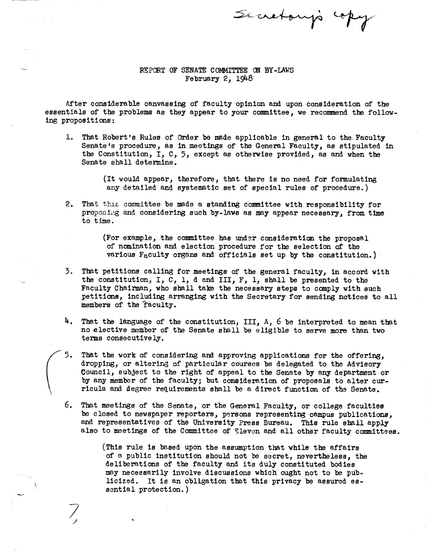Secretary's cop

## REPORT OF SENATE COMMITTEE ON BY-LAWS<br>February 2, 1948

After cons iderable canvassing of faculty opinion and upon consideration of the essentials of the problema as they appear to your committee, we recommend the following propositions:

- 1. That Robert's Rules of Order be made applicable in general to the Faculty Senate's procedure, as in meetings of the General Faculty, as stipulated in the Constitution,  $I, C, 5$ , except as otherwise provided, as and when the Senate shall determine.
	- (It would appear, therefore, that there is no need for formulating any detailed and systematic set of special rules of procedure.)
- 2. That this committee be made a standing committee with responsibility for proposing and considering such by-laws as may appear necessary, from time to time.

(For example, the conmiittee has under consideration the proposal of nonination and election procedure for the selection of the various F<sub>a</sub>culty organs and officials set up by the constitution.)

- 3. That petitions calling for meetings of the general faculty, in accord with the constitution, I, C, 1, d and III,  $F$ , 1, shall be presented to the Faculty Chairman, who shall take the necessary steps to comply with such petitions, including arranging with the Secretary for sending notices to all members of the fáculty.
- 4. That the language of the constitution, III, A, 6 be interpreted to mean that no elective member of the Senate shall be eligible to serve more than two terms consecutively.
- $5.$ That the work of considering and approving applications for the offering, dropping, or altering of particular courses be delegated to the Advisory Council, subject to the right of appeal to the Senate by any department or by any member of the faculty; but consideration of proposals to alter curricula and degree requirements shall be a direct function of the Senate.
- 6. That meetings of the Senate, or the General Faculty, or college faculties be closed to newspaper reportera, persons representing campus publications, and representatives of the University Press Bureau. This rule shall apply also to meetings of the Committee of Eleven and all other faculty committees.

(This rule is based upon the assumption that while the affairs of a public institution should not be secret, nevertheless, the deliberations of the faculty and ita duly constituted bodies may necessarily involve discussions which ought not to be publicized. It Is an obligation that this privacy be assured essential protection.)